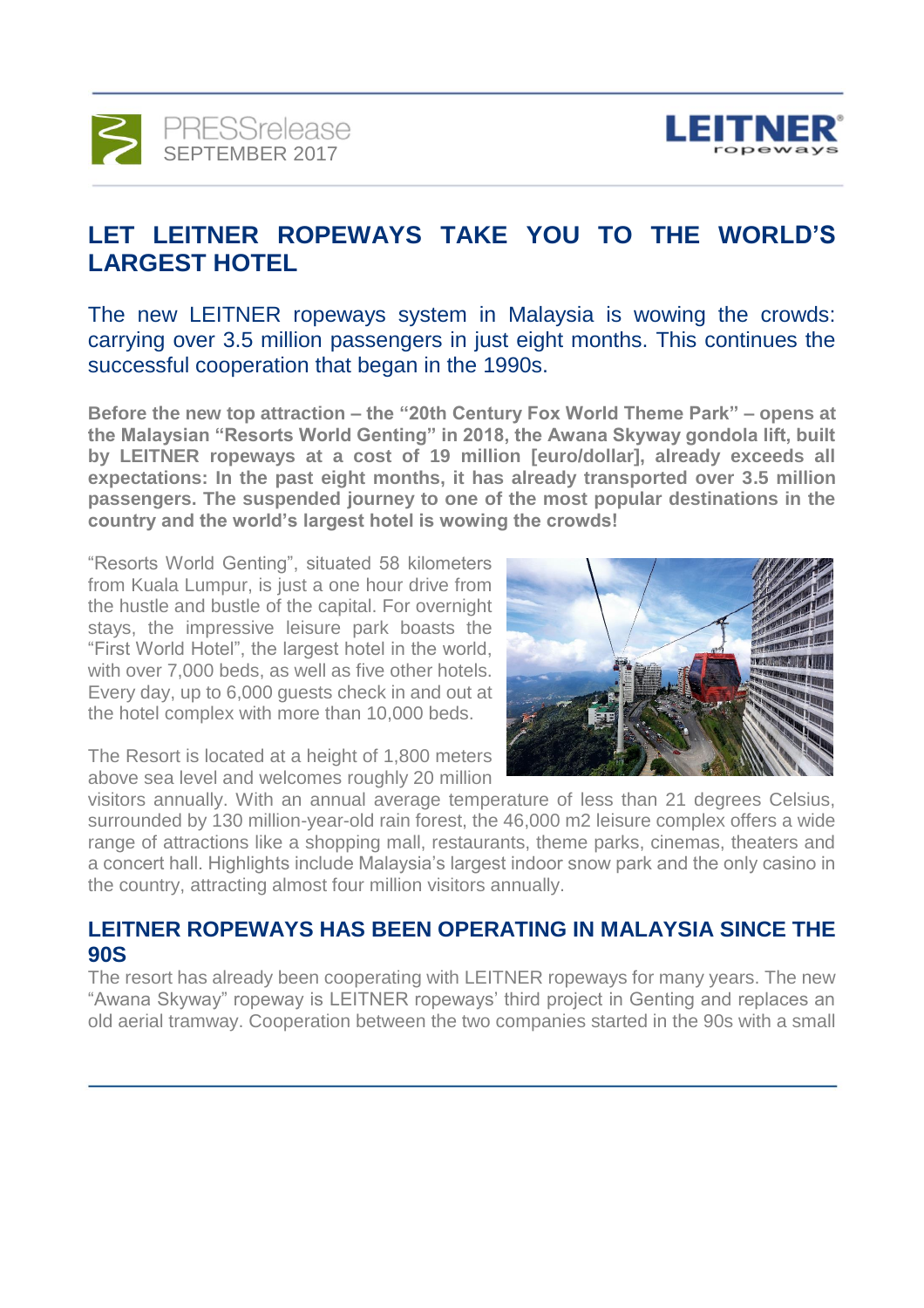



# **LET LEITNER ROPEWAYS TAKE YOU TO THE WORLD'S LARGEST HOTEL**

The new LEITNER ropeways system in Malaysia is wowing the crowds: carrying over 3.5 million passengers in just eight months. This continues the successful cooperation that began in the 1990s.

**Before the new top attraction – the "20th Century Fox World Theme Park" – opens at the Malaysian "Resorts World Genting" in 2018, the Awana Skyway gondola lift, built by LEITNER ropeways at a cost of 19 million [euro/dollar], already exceeds all expectations: In the past eight months, it has already transported over 3.5 million passengers. The suspended journey to one of the most popular destinations in the country and the world's largest hotel is wowing the crowds!**

"Resorts World Genting", situated 58 kilometers from Kuala Lumpur, is just a one hour drive from the hustle and bustle of the capital. For overnight stays, the impressive leisure park boasts the "First World Hotel", the largest hotel in the world, with over 7,000 beds, as well as five other hotels. Every day, up to 6,000 guests check in and out at the hotel complex with more than 10,000 beds.



The Resort is located at a height of 1,800 meters above sea level and welcomes roughly 20 million

visitors annually. With an annual average temperature of less than 21 degrees Celsius, surrounded by 130 million-year-old rain forest, the 46,000 m2 leisure complex offers a wide range of attractions like a shopping mall, restaurants, theme parks, cinemas, theaters and a concert hall. Highlights include Malaysia's largest indoor snow park and the only casino in the country, attracting almost four million visitors annually.

### **LEITNER ROPEWAYS HAS BEEN OPERATING IN MALAYSIA SINCE THE 90S**

The resort has already been cooperating with LEITNER ropeways for many years. The new "Awana Skyway" ropeway is LEITNER ropeways' third project in Genting and replaces an old aerial tramway. Cooperation between the two companies started in the 90s with a small